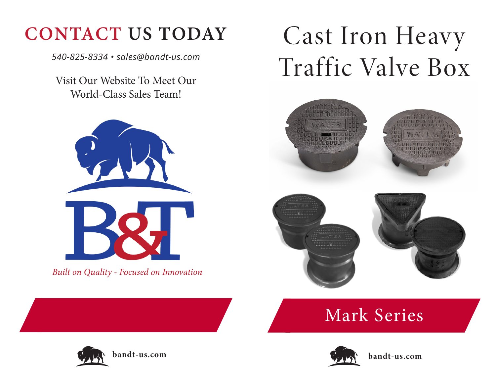## **CONTACT US TODAY**

*540-825-8334 • sales@bandt-us.com*

Visit Our Website To Meet Our World-Class Sales Team!



Built on Quality - Focused on Innovation

# Cast Iron Heavy Traffic Valve Box



### Mark Series





**bandt-us.com**